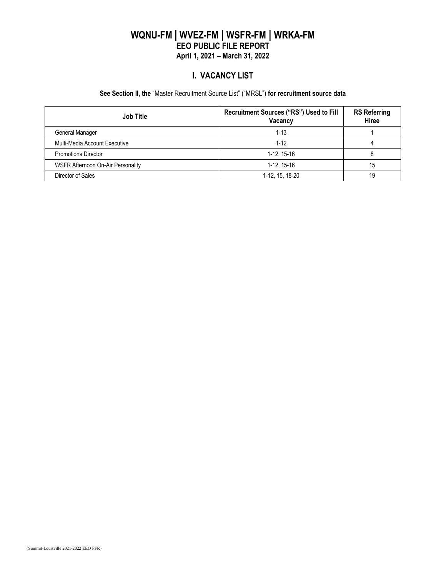## **WQNU-FM | WVEZ-FM | WSFR-FM | WRKA-FM EEO PUBLIC FILE REPORT April 1, 2021 – March 31, 2022**

#### **I. VACANCY LIST**

#### **See Section II, the** "Master Recruitment Source List" ("MRSL") **for recruitment source data**

| <b>Job Title</b>                         | Recruitment Sources ("RS") Used to Fill<br>Vacancy | <b>RS Referring</b><br>Hiree |
|------------------------------------------|----------------------------------------------------|------------------------------|
| General Manager                          | $1 - 13$                                           |                              |
| Multi-Media Account Executive            | 1-12                                               |                              |
| <b>Promotions Director</b>               | 1-12, 15-16                                        |                              |
| <b>WSFR Afternoon On-Air Personality</b> | 1-12, 15-16                                        | 15                           |
| Director of Sales                        | 1-12, 15, 18-20                                    | 19                           |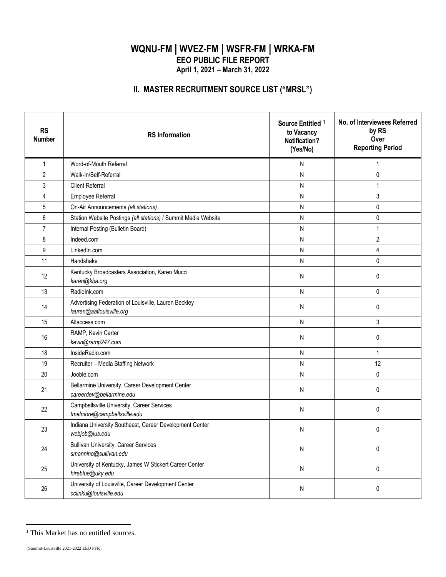# **WQNU-FM | WVEZ-FM | WSFR-FM | WRKA-FM EEO PUBLIC FILE REPORT April 1, 2021 – March 31, 2022**

# **II. MASTER RECRUITMENT SOURCE LIST ("MRSL")**

| <b>RS</b><br><b>Number</b> | <b>RS</b> Information                                                            | Source Entitled <sup>1</sup><br>to Vacancy<br><b>Notification?</b><br>(Yes/No) | No. of Interviewees Referred<br>by RS<br>Over<br><b>Reporting Period</b> |
|----------------------------|----------------------------------------------------------------------------------|--------------------------------------------------------------------------------|--------------------------------------------------------------------------|
| $\mathbf{1}$               | Word-of-Mouth Referral                                                           | N                                                                              | 1                                                                        |
| $\overline{2}$             | Walk-In/Self-Referral                                                            | N                                                                              | 0                                                                        |
| $\mathfrak{Z}$             | <b>Client Referral</b>                                                           | Ν                                                                              | $\mathbf{1}$                                                             |
| 4                          | Employee Referral                                                                | N                                                                              | 3                                                                        |
| $\mathbf 5$                | On-Air Announcements (all stations)                                              | N                                                                              | 0                                                                        |
| 6                          | Station Website Postings (all stations) / Summit Media Website                   | N                                                                              | $\pmb{0}$                                                                |
| $\overline{7}$             | Internal Posting (Bulletin Board)                                                | N                                                                              | $\mathbf{1}$                                                             |
| 8                          | Indeed.com                                                                       | N                                                                              | $\overline{2}$                                                           |
| 9                          | LinkedIn.com                                                                     | N                                                                              | 4                                                                        |
| 11                         | Handshake                                                                        | N                                                                              | 0                                                                        |
| 12                         | Kentucky Broadcasters Association, Karen Mucci<br>karen@kba.org                  | N                                                                              | 0                                                                        |
| 13                         | Radiolnk.com                                                                     | N                                                                              | 0                                                                        |
| 14                         | Advertising Federation of Louisville, Lauren Beckley<br>lauren@aaflouisville.org | N                                                                              | 0                                                                        |
| 15                         | Allaccess.com                                                                    | N                                                                              | 3                                                                        |
| 16                         | RAMP, Kevin Carter<br>kevin@ramp247.com                                          | N                                                                              | 0                                                                        |
| 18                         | InsideRadio.com                                                                  | N                                                                              | 1                                                                        |
| 19                         | Recruiter - Media Staffing Network                                               | N                                                                              | 12                                                                       |
| 20                         | Jooble.com                                                                       | N                                                                              | 0                                                                        |
| 21                         | Bellarmine University, Career Development Center<br>careerdev@bellarmine.edu     | N                                                                              | 0                                                                        |
| 22                         | Campbellsville University, Career Services<br>tmelmore@campbellsville.edu        | N                                                                              | 0                                                                        |
| 23                         | Indiana University Southeast, Career Development Center<br>webjob@ius.edu        | N                                                                              | 0                                                                        |
| 24                         | Sullivan University, Career Services<br>smannino@sullivan.edu                    | ${\sf N}$                                                                      | 0                                                                        |
| 25                         | University of Kentucky, James W Stickert Career Center<br>hireblue@uky.edu       | ${\sf N}$                                                                      | 0                                                                        |
| 26                         | University of Louisville, Career Development Center<br>cclinku@louisville.edu    | N                                                                              | 0                                                                        |

<sup>&</sup>lt;sup>1</sup> This Market has no entitled sources.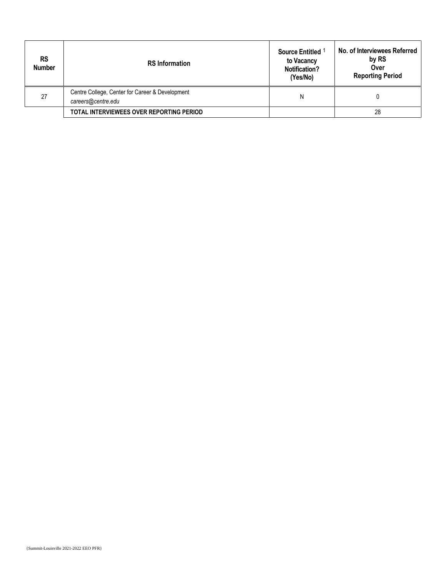| <b>RS</b><br><b>Number</b> | <b>RS</b> Information                                                 | Source Entitled<br>to Vacancy<br><b>Notification?</b><br>(Yes/No) | No. of Interviewees Referred<br>by RS<br>Over<br><b>Reporting Period</b> |
|----------------------------|-----------------------------------------------------------------------|-------------------------------------------------------------------|--------------------------------------------------------------------------|
| 27                         | Centre College, Center for Career & Development<br>careers@centre.edu | N                                                                 |                                                                          |
|                            | TOTAL INTERVIEWEES OVER REPORTING PERIOD                              |                                                                   | 28                                                                       |